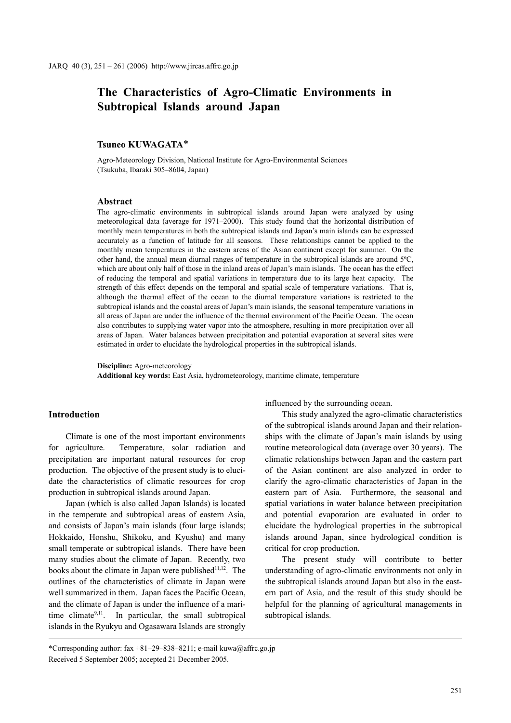# **The Characteristics of Agro-Climatic Environments in Subtropical Islands around Japan**

## **Tsuneo KUWAGATA**\*

Agro-Meteorology Division, National Institute for Agro-Environmental Sciences (Tsukuba, Ibaraki 305–8604, Japan)

## **Abstract**

The agro-climatic environments in subtropical islands around Japan were analyzed by using meteorological data (average for 1971–2000). This study found that the horizontal distribution of monthly mean temperatures in both the subtropical islands and Japan's main islands can be expressed accurately as a function of latitude for all seasons. These relationships cannot be applied to the monthly mean temperatures in the eastern areas of the Asian continent except for summer. On the other hand, the annual mean diurnal ranges of temperature in the subtropical islands are around 5ºC, which are about only half of those in the inland areas of Japan's main islands. The ocean has the effect of reducing the temporal and spatial variations in temperature due to its large heat capacity. The strength of this effect depends on the temporal and spatial scale of temperature variations. That is, although the thermal effect of the ocean to the diurnal temperature variations is restricted to the subtropical islands and the coastal areas of Japan's main islands, the seasonal temperature variations in all areas of Japan are under the influence of the thermal environment of the Pacific Ocean. The ocean also contributes to supplying water vapor into the atmosphere, resulting in more precipitation over all areas of Japan. Water balances between precipitation and potential evaporation at several sites were estimated in order to elucidate the hydrological properties in the subtropical islands.

**Discipline:** Agro-meteorology

**Additional key words:** East Asia, hydrometeorology, maritime climate, temperature

## **Introduction**

Climate is one of the most important environments for agriculture. Temperature, solar radiation and precipitation are important natural resources for crop production. The objective of the present study is to elucidate the characteristics of climatic resources for crop production in subtropical islands around Japan.

Japan (which is also called Japan Islands) is located in the temperate and subtropical areas of eastern Asia, and consists of Japan's main islands (four large islands; Hokkaido, Honshu, Shikoku, and Kyushu) and many small temperate or subtropical islands. There have been many studies about the climate of Japan. Recently, two books about the climate in Japan were published $11,12$ . The outlines of the characteristics of climate in Japan were well summarized in them. Japan faces the Pacific Ocean, and the climate of Japan is under the influence of a maritime climate $9,11$ . In particular, the small subtropical islands in the Ryukyu and Ogasawara Islands are strongly influenced by the surrounding ocean.

This study analyzed the agro-climatic characteristics of the subtropical islands around Japan and their relationships with the climate of Japan's main islands by using routine meteorological data (average over 30 years). The climatic relationships between Japan and the eastern part of the Asian continent are also analyzed in order to clarify the agro-climatic characteristics of Japan in the eastern part of Asia. Furthermore, the seasonal and spatial variations in water balance between precipitation and potential evaporation are evaluated in order to elucidate the hydrological properties in the subtropical islands around Japan, since hydrological condition is critical for crop production.

The present study will contribute to better understanding of agro-climatic environments not only in the subtropical islands around Japan but also in the eastern part of Asia, and the result of this study should be helpful for the planning of agricultural managements in subtropical islands.

<sup>\*</sup>Corresponding author: fax +81–29–838–8211; e-mail kuwa@affrc.go.jp Received 5 September 2005; accepted 21 December 2005.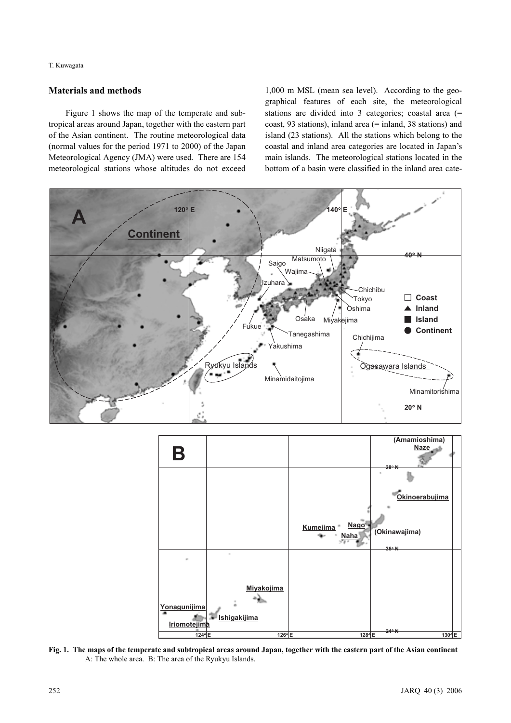T. Kuwagata

## **Materials and methods**

Figure 1 shows the map of the temperate and subtropical areas around Japan, together with the eastern part of the Asian continent. The routine meteorological data (normal values for the period 1971 to 2000) of the Japan Meteorological Agency (JMA) were used. There are 154 meteorological stations whose altitudes do not exceed

1,000 m MSL (mean sea level). According to the geographical features of each site, the meteorological stations are divided into 3 categories; coastal area (= coast, 93 stations), inland area (= inland, 38 stations) and island (23 stations). All the stations which belong to the coastal and inland area categories are located in Japan's main islands. The meteorological stations located in the bottom of a basin were classified in the inland area cate-





**Fig. 1. The maps of the temperate and subtropical areas around Japan, together with the eastern part of the Asian continent** A: The whole area. B: The area of the Ryukyu Islands.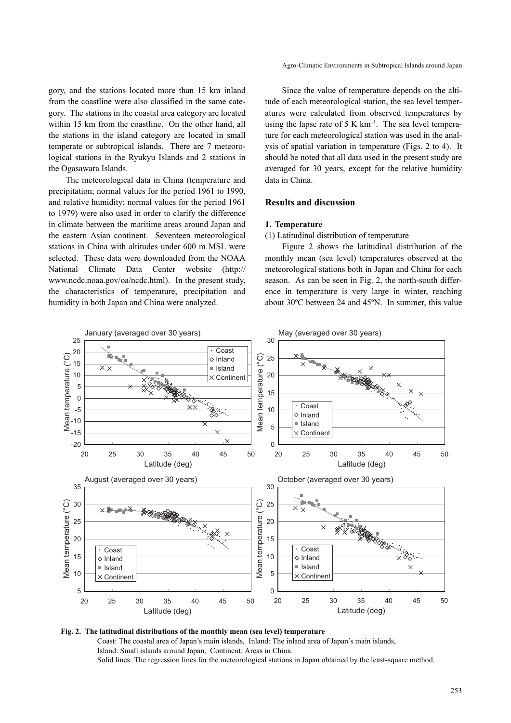gory, and the stations located more than 15 km inland from the coastline were also classified in the same category. The stations in the coastal area category are located within 15 km from the coastline. On the other hand, all the stations in the island category are located in small temperate or subtropical islands. There are 7 meteorological stations in the Ryukyu Islands and 2 stations in the Ogasawara Islands.

The meteorological data in China (temperature and precipitation; normal values for the period 1961 to 1990, and relative humidity; normal values for the period 1961 to 1979) were also used in order to clarify the difference in climate between the maritime areas around Japan and the eastern Asian continent. Seventeen meteorological stations in China with altitudes under 600 m MSL were selected. These data were downloaded from the NOAA National Climate Data Center website (http:// www.ncdc.noaa.gov/oa/ncdc.html). In the present study, the characteristics of temperature, precipitation and humidity in both Japan and China were analyzed.

Since the value of temperature depends on the altitude of each meteorological station, the sea level temperatures were calculated from observed temperatures by using the lapse rate of 5 K  $km^{-1}$ . The sea level temperature for each meteorological station was used in the analysis of spatial variation in temperature (Figs. 2 to 4). It should be noted that all data used in the present study are averaged for 30 years, except for the relative humidity data in China.

## **Results and discussion**

#### **1. Temperature**

#### (1) Latitudinal distribution of temperature

Figure 2 shows the latitudinal distribution of the monthly mean (sea level) temperatures observed at the meteorological stations both in Japan and China for each season. As can be seen in Fig. 2, the north-south difference in temperature is very large in winter, reaching about 30ºC between 24 and 45ºN. In summer, this value



**Fig. 2. The latitudinal distributions of the monthly mean (sea level) temperature** Coast: The coastal area of Japan's main islands, Inland: The inland area of Japan's main islands, Island: Small islands around Japan, Continent: Areas in China. Solid lines: The regression lines for the meteorological stations in Japan obtained by the least-square method.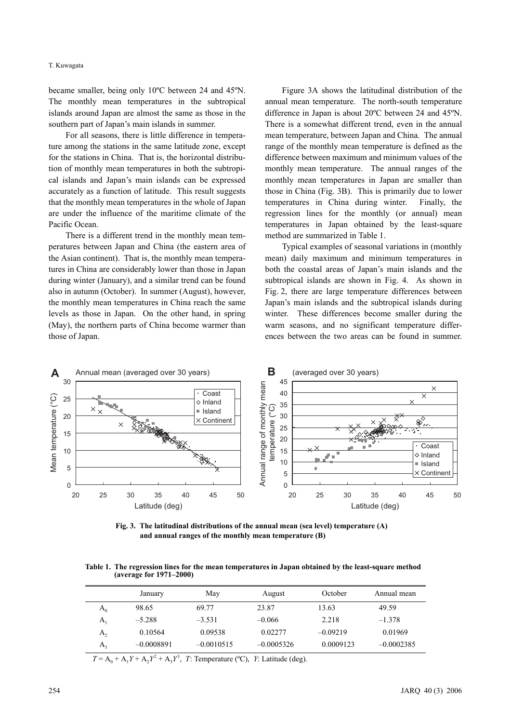#### T. Kuwagata

became smaller, being only 10ºC between 24 and 45ºN. The monthly mean temperatures in the subtropical islands around Japan are almost the same as those in the southern part of Japan's main islands in summer.

For all seasons, there is little difference in temperature among the stations in the same latitude zone, except for the stations in China. That is, the horizontal distribution of monthly mean temperatures in both the subtropical islands and Japan's main islands can be expressed accurately as a function of latitude. This result suggests that the monthly mean temperatures in the whole of Japan are under the influence of the maritime climate of the Pacific Ocean.

There is a different trend in the monthly mean temperatures between Japan and China (the eastern area of the Asian continent). That is, the monthly mean temperatures in China are considerably lower than those in Japan during winter (January), and a similar trend can be found also in autumn (October). In summer (August), however, the monthly mean temperatures in China reach the same levels as those in Japan. On the other hand, in spring (May), the northern parts of China become warmer than those of Japan.

Figure 3A shows the latitudinal distribution of the annual mean temperature. The north-south temperature difference in Japan is about 20ºC between 24 and 45ºN. There is a somewhat different trend, even in the annual mean temperature, between Japan and China. The annual range of the monthly mean temperature is defined as the difference between maximum and minimum values of the monthly mean temperature. The annual ranges of the monthly mean temperatures in Japan are smaller than those in China (Fig. 3B). This is primarily due to lower temperatures in China during winter. Finally, the regression lines for the monthly (or annual) mean temperatures in Japan obtained by the least-square method are summarized in Table 1.

Typical examples of seasonal variations in (monthly mean) daily maximum and minimum temperatures in both the coastal areas of Japan's main islands and the subtropical islands are shown in Fig. 4. As shown in Fig. 2, there are large temperature differences between Japan's main islands and the subtropical islands during winter. These differences become smaller during the warm seasons, and no significant temperature differences between the two areas can be found in summer.



**Fig. 3. The latitudinal distributions of the annual mean (sea level) temperature (A) and annual ranges of the monthly mean temperature (B)**

**Table 1. The regression lines for the mean temperatures in Japan obtained by the least-square method (average for 1971–2000)**

|                | January      | May          | August       | October    | Annual mean  |
|----------------|--------------|--------------|--------------|------------|--------------|
| $A_0$          | 98.65        | 69.77        | 23.87        | 13.63      | 49.59        |
| $\mathbf{A}$   | $-5.288$     | $-3.531$     | $-0.066$     | 2.218      | $-1.378$     |
| A <sub>2</sub> | 0.10564      | 0.09538      | 0.02277      | $-0.09219$ | 0.01969      |
| $A_{3}$        | $-0.0008891$ | $-0.0010515$ | $-0.0005326$ | 0.0009123  | $-0.0002385$ |

 $T = A_0 + A_1 Y + A_2 Y^2 + A_3 Y^3$ , *T*: Temperature (°C), *Y*: Latitude (deg).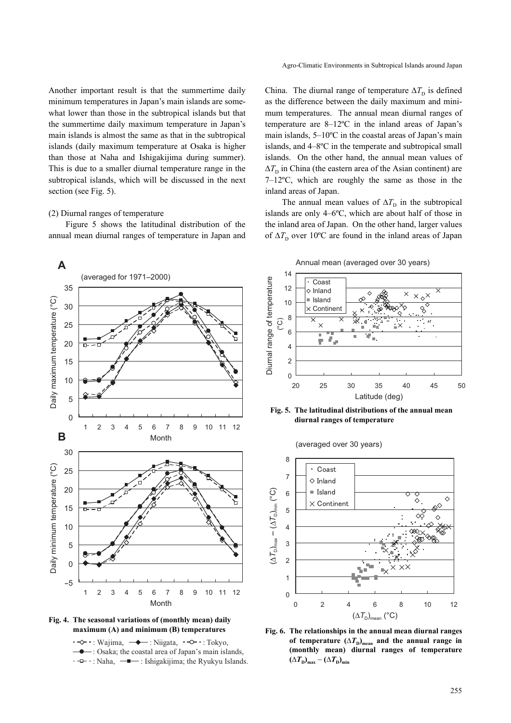Agro-Climatic Environments in Subtropical Islands around Japan

Another important result is that the summertime daily minimum temperatures in Japan's main islands are somewhat lower than those in the subtropical islands but that the summertime daily maximum temperature in Japan's main islands is almost the same as that in the subtropical islands (daily maximum temperature at Osaka is higher than those at Naha and Ishigakijima during summer). This is due to a smaller diurnal temperature range in the subtropical islands, which will be discussed in the next section (see Fig. 5).

#### (2) Diurnal ranges of temperature

Figure 5 shows the latitudinal distribution of the annual mean diurnal ranges of temperature in Japan and

China. The diurnal range of temperature  $\Delta T_{\rm D}$  is defined as the difference between the daily maximum and minimum temperatures. The annual mean diurnal ranges of temperature are 8–12ºC in the inland areas of Japan's main islands, 5–10ºC in the coastal areas of Japan's main islands, and 4–8ºC in the temperate and subtropical small islands. On the other hand, the annual mean values of  $\Delta T$ <sub>D</sub> in China (the eastern area of the Asian continent) are 7–12ºC, which are roughly the same as those in the inland areas of Japan.

The annual mean values of  $\Delta T$ <sub>D</sub> in the subtropical islands are only 4–6ºC, which are about half of those in the inland area of Japan. On the other hand, larger values of  $\Delta T$ <sub>D</sub> over 10<sup>o</sup>C are found in the inland areas of Japan





 $\cdot \rightarrow \cdot$ : Wajima,  $\rightarrow \cdot$ : Niigata,  $\cdot \rightarrow \cdot$ : Tokyo,

 $\bullet$ : Osaka; the coastal area of Japan's main islands,

 $\leftarrow -\leftarrow -\frac{1}{2}$ : Ishigakijima; the Ryukyu Islands.



**Fig. 5. The latitudinal distributions of the annual mean diurnal ranges of temperature**





**maximum (A) and minimum (B) temperatures Fig. 6. The relationships in the annual mean diurnal ranges** of temperature  $(\Delta T_{\text{D}})_{\text{mean}}$  and the annual range in **(monthly mean) diurnal ranges of temperature**  $(\Delta T_{\rm D})_{\rm max} - (\Delta T_{\rm D})_{\rm min}$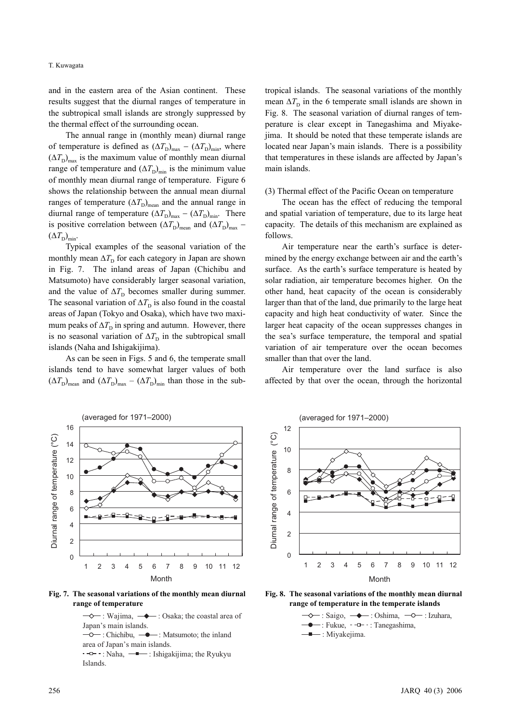and in the eastern area of the Asian continent. These results suggest that the diurnal ranges of temperature in the subtropical small islands are strongly suppressed by the thermal effect of the surrounding ocean.

The annual range in (monthly mean) diurnal range of temperature is defined as  $(\Delta T_{\rm D})_{\rm max} - (\Delta T_{\rm D})_{\rm min}$ , where  $(\Delta T_{\rm D})_{\rm max}$  is the maximum value of monthly mean diurnal range of temperature and  $(\Delta T_{\rm D})_{\rm min}$  is the minimum value of monthly mean diurnal range of temperature. Figure 6 shows the relationship between the annual mean diurnal ranges of temperature  $(\Delta T_{\rm D})_{\rm mean}$  and the annual range in diurnal range of temperature  $(\Delta T_{\rm D})_{\rm max} - (\Delta T_{\rm D})_{\rm min}$ . There is positive correlation between  $(\Delta T_{\rm D})_{\rm mean}$  and  $(\Delta T_{\rm D})_{\rm max}$  −  $(\Delta T_{\rm D})_{\rm min}$ .

Typical examples of the seasonal variation of the monthly mean  $\Delta T$ <sup>D</sup> for each category in Japan are shown in Fig. 7. The inland areas of Japan (Chichibu and Matsumoto) have considerably larger seasonal variation, and the value of  $\Delta T$ <sub>D</sub> becomes smaller during summer. The seasonal variation of  $\Delta T$ <sub>D</sub> is also found in the coastal areas of Japan (Tokyo and Osaka), which have two maximum peaks of  $\Delta T$ <sub>D</sub> in spring and autumn. However, there is no seasonal variation of  $\Delta T$ <sub>D</sub> in the subtropical small islands (Naha and Ishigakijima).

As can be seen in Figs. 5 and 6, the temperate small islands tend to have somewhat larger values of both  $(\Delta T_{\rm D})_{\rm mean}$  and  $(\Delta T_{\rm D})_{\rm max} - (\Delta T_{\rm D})_{\rm min}$  than those in the subtropical islands. The seasonal variations of the monthly mean  $\Delta T$ <sup>D</sup> in the 6 temperate small islands are shown in Fig. 8. The seasonal variation of diurnal ranges of temperature is clear except in Tanegashima and Miyakejima. It should be noted that these temperate islands are located near Japan's main islands. There is a possibility that temperatures in these islands are affected by Japan's main islands.

(3) Thermal effect of the Pacific Ocean on temperature

The ocean has the effect of reducing the temporal and spatial variation of temperature, due to its large heat capacity. The details of this mechanism are explained as follows.

Air temperature near the earth's surface is determined by the energy exchange between air and the earth's surface. As the earth's surface temperature is heated by solar radiation, air temperature becomes higher. On the other hand, heat capacity of the ocean is considerably larger than that of the land, due primarily to the large heat capacity and high heat conductivity of water. Since the larger heat capacity of the ocean suppresses changes in the sea's surface temperature, the temporal and spatial variation of air temperature over the ocean becomes smaller than that over the land.

Air temperature over the land surface is also affected by that over the ocean, through the horizontal



**Fig. 7. The seasonal variations of the monthly mean diurnal range of temperature**

 $\rightarrow$ : Wajima,  $\rightarrow$ : Osaka; the coastal area of  $\overline{-0}$ : Chichibu,  $\overline{-0}$ : Matsumoto; the inland  $\overline{\phantom{a}}$ : Naha,  $\overline{\phantom{a}}$ : Ishigakijima; the Ryukyu Japan's main islands. area of Japan's main islands.

Islands.



**Fig. 8. The seasonal variations of the monthly mean diurnal range of temperature in the temperate islands**

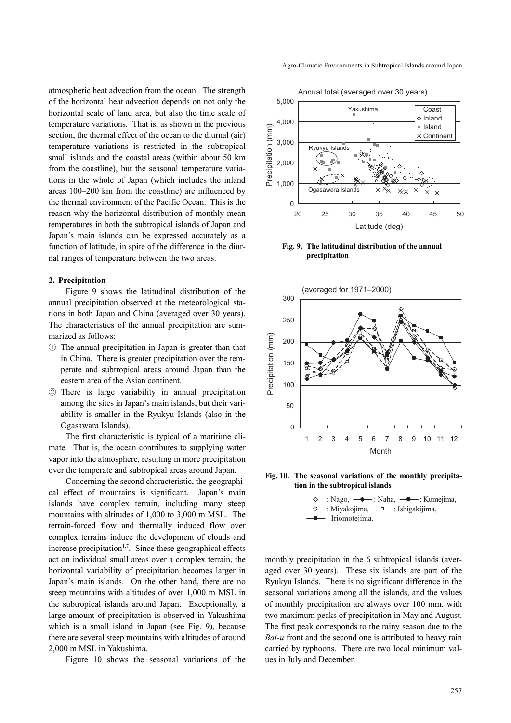atmospheric heat advection from the ocean. The strength of the horizontal heat advection depends on not only the horizontal scale of land area, but also the time scale of temperature variations. That is, as shown in the previous section, the thermal effect of the ocean to the diurnal (air) temperature variations is restricted in the subtropical small islands and the coastal areas (within about 50 km from the coastline), but the seasonal temperature variations in the whole of Japan (which includes the inland areas 100–200 km from the coastline) are influenced by the thermal environment of the Pacific Ocean. This is the reason why the horizontal distribution of monthly mean temperatures in both the subtropical islands of Japan and Japan's main islands can be expressed accurately as a function of latitude, in spite of the difference in the diurnal ranges of temperature between the two areas.

## **2. Precipitation**

Figure 9 shows the latitudinal distribution of the annual precipitation observed at the meteorological stations in both Japan and China (averaged over 30 years). The characteristics of the annual precipitation are summarized as follows:

- ① The annual precipitation in Japan is greater than that in China. There is greater precipitation over the temperate and subtropical areas around Japan than the eastern area of the Asian continent.
- ② There is large variability in annual precipitation among the sites in Japan's main islands, but their variability is smaller in the Ryukyu Islands (also in the Ogasawara Islands).

The first characteristic is typical of a maritime climate. That is, the ocean contributes to supplying water vapor into the atmosphere, resulting in more precipitation over the temperate and subtropical areas around Japan.

Concerning the second characteristic, the geographical effect of mountains is significant. Japan's main islands have complex terrain, including many steep mountains with altitudes of 1,000 to 3,000 m MSL. The terrain-forced flow and thermally induced flow over complex terrains induce the development of clouds and increase precipitation<sup> $1,7$ </sup>. Since these geographical effects act on individual small areas over a complex terrain, the horizontal variability of precipitation becomes larger in Japan's main islands. On the other hand, there are no steep mountains with altitudes of over 1,000 m MSL in the subtropical islands around Japan. Exceptionally, a large amount of precipitation is observed in Yakushima which is a small island in Japan (see Fig. 9), because there are several steep mountains with altitudes of around 2,000 m MSL in Yakushima.

Figure 10 shows the seasonal variations of the

Agro-Climatic Environments in Subtropical Islands around Japan

Annual total (averaged over 30 years)



**Fig. 9. The latitudinal distribution of the annual precipitation**



**Fig. 10. The seasonal variations of the monthly precipitation in the subtropical islands**



monthly precipitation in the 6 subtropical islands (averaged over 30 years). These six islands are part of the Ryukyu Islands. There is no significant difference in the seasonal variations among all the islands, and the values of monthly precipitation are always over 100 mm, with two maximum peaks of precipitation in May and August. The first peak corresponds to the rainy season due to the *Bai-u* front and the second one is attributed to heavy rain carried by typhoons. There are two local minimum values in July and December.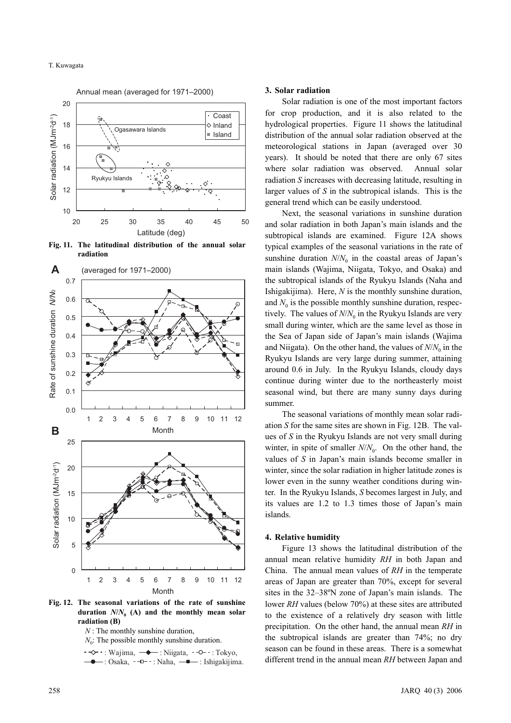

**Fig. 11. The latitudinal distribution of the annual solar radiation** 



**Fig. 12. The seasonal variations of the rate of sunshine** duration  $N/N_0$  (A) and the monthly mean solar **radiation (B)**

*N* : The monthly sunshine duration,

 $N_0$ : The possible monthly sunshine duration.

 $\cdot \rightarrow \cdot$ : Wajima,  $\rightarrow \cdot$ : Niigata,  $\cdot \rightarrow \cdot$ : Tokyo,  $-$ : Osaka,  $-$  : Naha,  $-$  : Ishigakijima.

#### **3. Solar radiation**

Solar radiation is one of the most important factors for crop production, and it is also related to the hydrological properties. Figure 11 shows the latitudinal distribution of the annual solar radiation observed at the meteorological stations in Japan (averaged over 30 years). It should be noted that there are only 67 sites where solar radiation was observed. Annual solar radiation *S* increases with decreasing latitude, resulting in larger values of *S* in the subtropical islands. This is the general trend which can be easily understood.

Next, the seasonal variations in sunshine duration and solar radiation in both Japan's main islands and the subtropical islands are examined. Figure 12A shows typical examples of the seasonal variations in the rate of sunshine duration  $N/N_0$  in the coastal areas of Japan's main islands (Wajima, Niigata, Tokyo, and Osaka) and the subtropical islands of the Ryukyu Islands (Naha and Ishigakijima). Here, *N* is the monthly sunshine duration, and  $N_0$  is the possible monthly sunshine duration, respectively. The values of  $N/N_0$  in the Ryukyu Islands are very small during winter, which are the same level as those in the Sea of Japan side of Japan's main islands (Wajima and Niigata). On the other hand, the values of  $N/N_0$  in the Ryukyu Islands are very large during summer, attaining around 0.6 in July. In the Ryukyu Islands, cloudy days continue during winter due to the northeasterly moist seasonal wind, but there are many sunny days during summer.

The seasonal variations of monthly mean solar radiation *S* for the same sites are shown in Fig. 12B. The values of *S* in the Ryukyu Islands are not very small during winter, in spite of smaller  $N/N_0$ . On the other hand, the values of *S* in Japan's main islands become smaller in winter, since the solar radiation in higher latitude zones is lower even in the sunny weather conditions during winter. In the Ryukyu Islands, *S* becomes largest in July, and its values are 1.2 to 1.3 times those of Japan's main islands.

#### **4. Relative humidity**

Figure 13 shows the latitudinal distribution of the annual mean relative humidity *RH* in both Japan and China. The annual mean values of *RH* in the temperate areas of Japan are greater than 70%, except for several sites in the 32–38ºN zone of Japan's main islands. The lower *RH* values (below 70%) at these sites are attributed to the existence of a relatively dry season with little precipitation. On the other hand, the annual mean *RH* in the subtropical islands are greater than 74%; no dry season can be found in these areas. There is a somewhat different trend in the annual mean *RH* between Japan and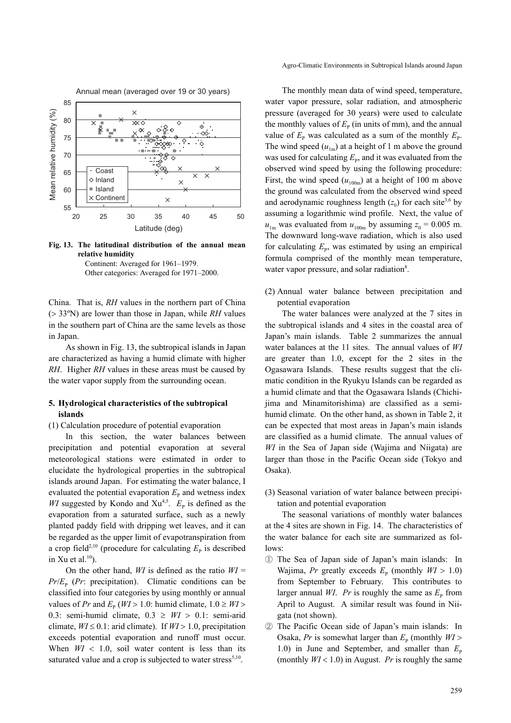

**Fig. 13. The latitudinal distribution of the annual mean relative humidity** 

Continent: Averaged for 1961–1979. Other categories: Averaged for 1971–2000.

China. That is, *RH* values in the northern part of China (> 33ºN) are lower than those in Japan, while *RH* values in the southern part of China are the same levels as those in Japan.

As shown in Fig. 13, the subtropical islands in Japan are characterized as having a humid climate with higher *RH*. Higher *RH* values in these areas must be caused by the water vapor supply from the surrounding ocean.

## **5. Hydrological characteristics of the subtropical islands**

(1) Calculation procedure of potential evaporation

In this section, the water balances between precipitation and potential evaporation at several meteorological stations were estimated in order to elucidate the hydrological properties in the subtropical islands around Japan. For estimating the water balance, I evaluated the potential evaporation  $E<sub>P</sub>$  and wetness index *WI* suggested by Kondo and  $Xu^{4,5}$ .  $E_p$  is defined as the evaporation from a saturated surface, such as a newly planted paddy field with dripping wet leaves, and it can be regarded as the upper limit of evapotranspiration from a crop field<sup>2,10</sup> (procedure for calculating  $E<sub>P</sub>$  is described in Xu et al. $^{10}$ ).

On the other hand,  $WI$  is defined as the ratio  $WI =$  $Pr/E<sub>p</sub>$  (*Pr*: precipitation). Climatic conditions can be classified into four categories by using monthly or annual values of *Pr* and  $E_p$  (*WI* > 1.0: humid climate,  $1.0 \geq W$ *I* > 0.3: semi-humid climate,  $0.3 \geq W I > 0.1$ : semi-arid climate,  $WI \leq 0.1$ : arid climate). If  $WI > 1.0$ , precipitation exceeds potential evaporation and runoff must occur. When  $W1 < 1.0$ , soil water content is less than its saturated value and a crop is subjected to water stress $5,10$ .

Agro-Climatic Environments in Subtropical Islands around Japan

The monthly mean data of wind speed, temperature, water vapor pressure, solar radiation, and atmospheric pressure (averaged for 30 years) were used to calculate the monthly values of  $E_p$  (in units of mm), and the annual value of  $E_{\rm P}$  was calculated as a sum of the monthly  $E_{\rm P}$ . The wind speed  $(u_{1m})$  at a height of 1 m above the ground was used for calculating  $E_p$ , and it was evaluated from the observed wind speed by using the following procedure: First, the wind speed  $(u_{100m})$  at a height of 100 m above the ground was calculated from the observed wind speed and aerodynamic roughness length  $(z_0)$  for each site<sup>3,6</sup> by assuming a logarithmic wind profile. Next, the value of  $u_{1m}$  was evaluated from  $u_{100m}$  by assuming  $z_0 = 0.005$  m. The downward long-wave radiation, which is also used for calculating  $E_{\rm P}$ , was estimated by using an empirical formula comprised of the monthly mean temperature, water vapor pressure, and solar radiation<sup>8</sup>.

(2) Annual water balance between precipitation and potential evaporation

The water balances were analyzed at the 7 sites in the subtropical islands and 4 sites in the coastal area of Japan's main islands. Table 2 summarizes the annual water balances at the 11 sites. The annual values of *WI* are greater than 1.0, except for the 2 sites in the Ogasawara Islands. These results suggest that the climatic condition in the Ryukyu Islands can be regarded as a humid climate and that the Ogasawara Islands (Chichijima and Minamitorishima) are classified as a semihumid climate. On the other hand, as shown in Table 2, it can be expected that most areas in Japan's main islands are classified as a humid climate. The annual values of *WI* in the Sea of Japan side (Wajima and Niigata) are larger than those in the Pacific Ocean side (Tokyo and Osaka).

(3) Seasonal variation of water balance between precipitation and potential evaporation

The seasonal variations of monthly water balances at the 4 sites are shown in Fig. 14. The characteristics of the water balance for each site are summarized as follows:

- ① The Sea of Japan side of Japan's main islands: In Wajima, *Pr* greatly exceeds  $E<sub>P</sub>$  (monthly  $W1 > 1.0$ ) from September to February. This contributes to larger annual *WI*. *Pr* is roughly the same as  $E<sub>p</sub>$  from April to August. A similar result was found in Niigata (not shown).
- ② The Pacific Ocean side of Japan's main islands: In Osaka, *Pr* is somewhat larger than  $E<sub>P</sub>$  (monthly  $W1$ ) 1.0) in June and September, and smaller than  $E_p$ (monthly  $W1 < 1.0$ ) in August. *Pr* is roughly the same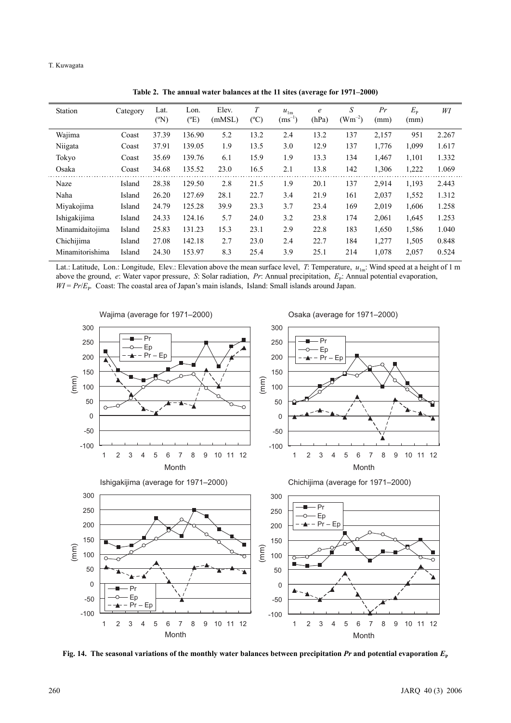| <b>Station</b>  | Category | Lat.<br>$({}^{\circ}{\rm N})$ | Lon.<br>$(^{\circ}E)$ | Elev.<br>(mMSL) | T<br>$(^{\circ}C)$ | $u_{1m}$<br>$(ms^{-1})$ | $\epsilon$<br>(hPa) | S<br>$(Wm^{-2})$ | Pr<br>(mm) | $E_{\rm p}$<br>(mm) | WI    |
|-----------------|----------|-------------------------------|-----------------------|-----------------|--------------------|-------------------------|---------------------|------------------|------------|---------------------|-------|
| Wajima          | Coast    | 37.39                         | 136.90                | 5.2             | 13.2               | 2.4                     | 13.2                | 137              | 2,157      | 951                 | 2.267 |
| Niigata         | Coast    | 37.91                         | 139.05                | 1.9             | 13.5               | 3.0                     | 12.9                | 137              | 1,776      | 1,099               | 1.617 |
| Tokyo           | Coast    | 35.69                         | 139.76                | 6.1             | 15.9               | 1.9                     | 13.3                | 134              | 1,467      | 1,101               | 1.332 |
| Osaka           | Coast    | 34.68                         | 135.52                | 23.0            | 16.5               | 2.1                     | 13.8                | 142              | 1,306      | 1,222               | 1.069 |
| Naze            | Island   | 28.38                         | 129.50                | 2.8             | 21.5               | 1.9                     | 20.1                | 137              | 2,914      | 1,193               | 2.443 |
| Naha            | Island   | 26.20                         | 127.69                | 28.1            | 22.7               | 3.4                     | 21.9                | 161              | 2,037      | 1,552               | 1.312 |
| Miyakojima      | Island   | 24.79                         | 125.28                | 39.9            | 23.3               | 3.7                     | 23.4                | 169              | 2,019      | 1,606               | 1.258 |
| Ishigakijima    | Island   | 24.33                         | 124.16                | 5.7             | 24.0               | 3.2                     | 23.8                | 174              | 2,061      | 1,645               | 1.253 |
| Minamidaitojima | Island   | 25.83                         | 131.23                | 15.3            | 23.1               | 2.9                     | 22.8                | 183              | 1,650      | 1,586               | 1.040 |
| Chichijima      | Island   | 27.08                         | 142.18                | 2.7             | 23.0               | 2.4                     | 22.7                | 184              | 1,277      | 1,505               | 0.848 |
| Minamitorishima | Island   | 24.30                         | 153.97                | 8.3             | 25.4               | 3.9                     | 25.1                | 214              | 1,078      | 2,057               | 0.524 |

**Table 2. The annual water balances at the 11 sites (average for 1971–2000)**

Lat.: Latitude, Lon.: Longitude, Elev.: Elevation above the mean surface level, *T*: Temperature,  $u_{1m}$ : Wind speed at a height of 1 m above the ground, *e*: Water vapor pressure, *S*: Solar radiation, *Pr*: Annual precipitation, *E*<sub>P</sub>: Annual potential evaporation,  $WI = Pr/E<sub>P</sub>$ . Coast: The coastal area of Japan's main islands, Island: Small islands around Japan.



Fig. 14. The seasonal variations of the monthly water balances between precipitation  $Pr$  and potential evaporation  $E_p$